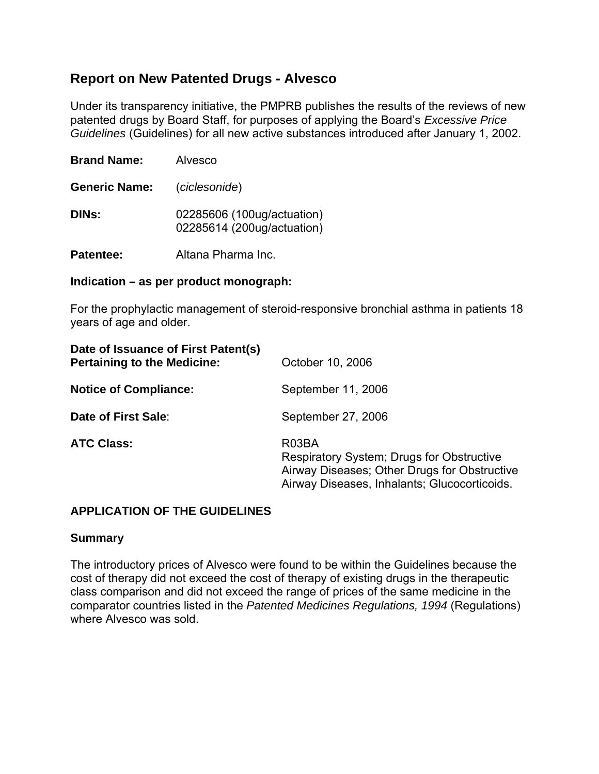# **Report on New Patented Drugs - Alvesco**

Under its transparency initiative, the PMPRB publishes the results of the reviews of new patented drugs by Board Staff, for purposes of applying the Board's *Excessive Price Guidelines* (Guidelines) for all new active substances introduced after January 1, 2002.

| <b>Brand Name:</b>   | Alvesco                                                  |  |  |
|----------------------|----------------------------------------------------------|--|--|
| <b>Generic Name:</b> | (ciclesonide)                                            |  |  |
| DINs:                | 02285606 (100ug/actuation)<br>02285614 (200ug/actuation) |  |  |
| Patentee:            | Altana Pharma Inc.                                       |  |  |

#### **Indication – as per product monograph:**

For the prophylactic management of steroid-responsive bronchial asthma in patients 18 years of age and older.

| Date of Issuance of First Patent(s)<br><b>Pertaining to the Medicine:</b> | October 10, 2006                                                                                                                                   |  |  |
|---------------------------------------------------------------------------|----------------------------------------------------------------------------------------------------------------------------------------------------|--|--|
| <b>Notice of Compliance:</b>                                              | September 11, 2006                                                                                                                                 |  |  |
| Date of First Sale:                                                       | September 27, 2006                                                                                                                                 |  |  |
| <b>ATC Class:</b>                                                         | R03BA<br>Respiratory System; Drugs for Obstructive<br>Airway Diseases; Other Drugs for Obstructive<br>Airway Diseases, Inhalants; Glucocorticoids. |  |  |

## **APPLICATION OF THE GUIDELINES**

#### **Summary**

The introductory prices of Alvesco were found to be within the Guidelines because the cost of therapy did not exceed the cost of therapy of existing drugs in the therapeutic class comparison and did not exceed the range of prices of the same medicine in the comparator countries listed in the *Patented Medicines Regulations, 1994* (Regulations) where Alvesco was sold.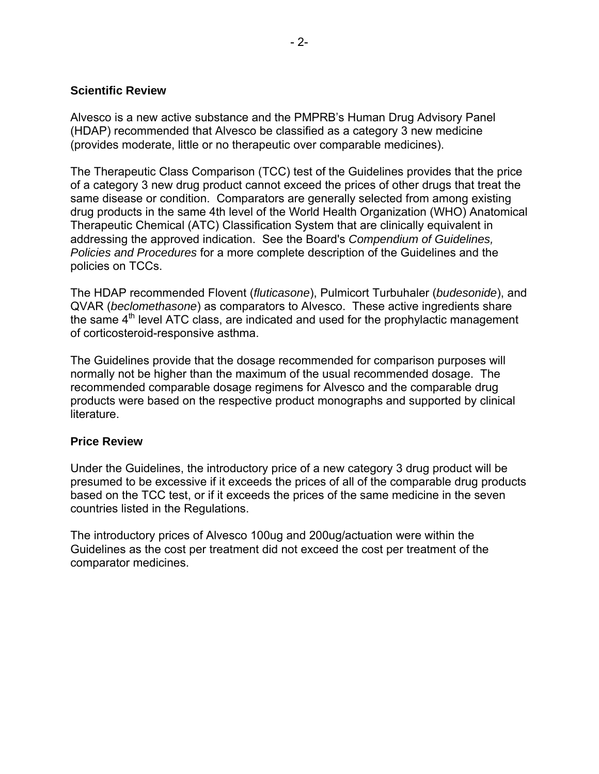## **Scientific Review**

Alvesco is a new active substance and the PMPRB's Human Drug Advisory Panel (HDAP) recommended that Alvesco be classified as a category 3 new medicine (provides moderate, little or no therapeutic over comparable medicines).

The Therapeutic Class Comparison (TCC) test of the Guidelines provides that the price of a category 3 new drug product cannot exceed the prices of other drugs that treat the same disease or condition. Comparators are generally selected from among existing drug products in the same 4th level of the World Health Organization (WHO) Anatomical Therapeutic Chemical (ATC) Classification System that are clinically equivalent in addressing the approved indication. See the Board's *Compendium of Guidelines, Policies and Procedures* for a more complete description of the Guidelines and the policies on TCCs.

The HDAP recommended Flovent (*fluticasone*), Pulmicort Turbuhaler (*budesonide*), and QVAR (*beclomethasone*) as comparators to Alvesco. These active ingredients share the same  $4<sup>th</sup>$  level ATC class, are indicated and used for the prophylactic management of corticosteroid-responsive asthma.

The Guidelines provide that the dosage recommended for comparison purposes will normally not be higher than the maximum of the usual recommended dosage. The recommended comparable dosage regimens for Alvesco and the comparable drug products were based on the respective product monographs and supported by clinical literature.

#### **Price Review**

Under the Guidelines, the introductory price of a new category 3 drug product will be presumed to be excessive if it exceeds the prices of all of the comparable drug products based on the TCC test, or if it exceeds the prices of the same medicine in the seven countries listed in the Regulations.

The introductory prices of Alvesco 100ug and 200ug/actuation were within the Guidelines as the cost per treatment did not exceed the cost per treatment of the comparator medicines.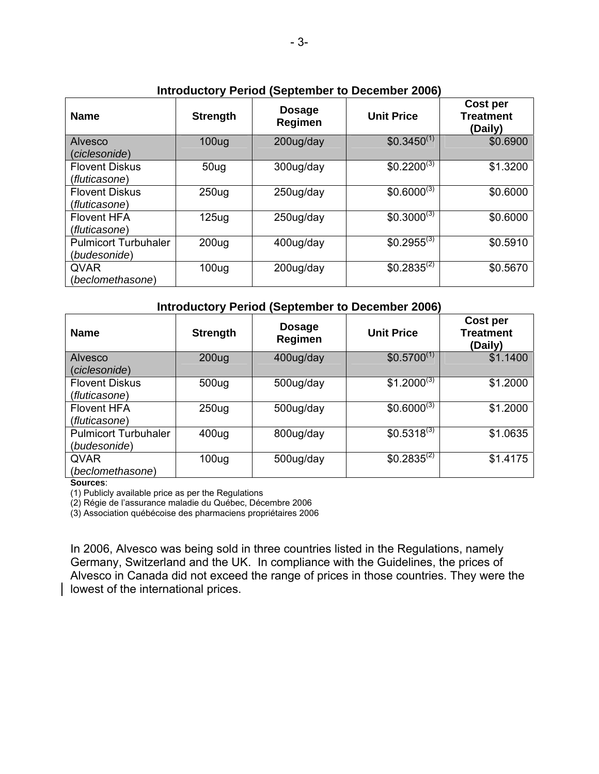| <b>Name</b>                 | <b>Strength</b>   | $-$ - $-$ - $-$<br><b>Dosage</b><br>Regimen | <b>Unit Price</b> | Cost per<br><b>Treatment</b><br>(Daily) |
|-----------------------------|-------------------|---------------------------------------------|-------------------|-----------------------------------------|
| Alvesco                     | 100 <sub>ug</sub> | 200ug/day                                   | $$0.3450^{(1)}$$  | \$0.6900                                |
| (ciclesonide)               |                   |                                             |                   |                                         |
| <b>Flovent Diskus</b>       | 50 <sub>uq</sub>  | 300ug/day                                   | $$0.2200^{(3)}$$  | \$1.3200                                |
| (fluticasone)               |                   |                                             |                   |                                         |
| <b>Flovent Diskus</b>       | 250 <sub>uq</sub> | 250ug/day                                   | $$0.6000^{(3)}$$  | \$0.6000                                |
| (fluticasone)               |                   |                                             |                   |                                         |
| <b>Flovent HFA</b>          | 125 <sub>uq</sub> | 250ug/day                                   | $$0.3000^{(3)}$$  | \$0.6000                                |
| (fluticasone)               |                   |                                             |                   |                                         |
| <b>Pulmicort Turbuhaler</b> | 200 <sub>ug</sub> | 400ug/day                                   | $$0.2955^{(3)}$$  | \$0.5910                                |
| (budesonide)                |                   |                                             |                   |                                         |
| <b>QVAR</b>                 | 100 <sub>uq</sub> | 200ug/day                                   | $$0.2835^{(2)}$$  | \$0.5670                                |
| (beclomethasone)            |                   |                                             |                   |                                         |

## **Introductory Period (September to December 2006)**

| <b>Introductory Period (September to December 2006)</b> |                   |                                 |                   |                                         |  |  |  |
|---------------------------------------------------------|-------------------|---------------------------------|-------------------|-----------------------------------------|--|--|--|
| <b>Name</b>                                             | <b>Strength</b>   | <b>Dosage</b><br><b>Regimen</b> | <b>Unit Price</b> | Cost per<br><b>Treatment</b><br>(Daily) |  |  |  |
| Alvesco                                                 | 200 <sub>ug</sub> | 400ug/day                       | $$0.5700^{(1)}$   | \$1.1400                                |  |  |  |
| (ciclesonide)                                           |                   |                                 |                   |                                         |  |  |  |
| <b>Flovent Diskus</b>                                   | 500ug             | 500ug/day                       | $$1.2000^{(3)}$   | \$1.2000                                |  |  |  |
| (fluticasone)                                           |                   |                                 |                   |                                         |  |  |  |
| <b>Flovent HFA</b>                                      | 250 <sub>ug</sub> | 500ug/day                       | $$0.6000^{(3)}$   | \$1.2000                                |  |  |  |
| (fluticasone)                                           |                   |                                 |                   |                                         |  |  |  |
| <b>Pulmicort Turbuhaler</b>                             | 400ug             | 800ug/day                       | $$0.5318^{(3)}$   | \$1.0635                                |  |  |  |
| (budesonide)                                            |                   |                                 |                   |                                         |  |  |  |
| <b>QVAR</b>                                             | 100 <sub>ug</sub> | 500ug/day                       | $$0.2835^{(2)}$$  | \$1.4175                                |  |  |  |
| (beclomethasone)                                        |                   |                                 |                   |                                         |  |  |  |

**Sources**:

(1) Publicly available price as per the Regulations

(2) Régie de l'assurance maladie du Québec, Décembre 2006

(3) Association québécoise des pharmaciens propriétaires 2006

In 2006, Alvesco was being sold in three countries listed in the Regulations, namely Germany, Switzerland and the UK. In compliance with the Guidelines, the prices of Alvesco in Canada did not exceed the range of prices in those countries. They were the lowest of the international prices.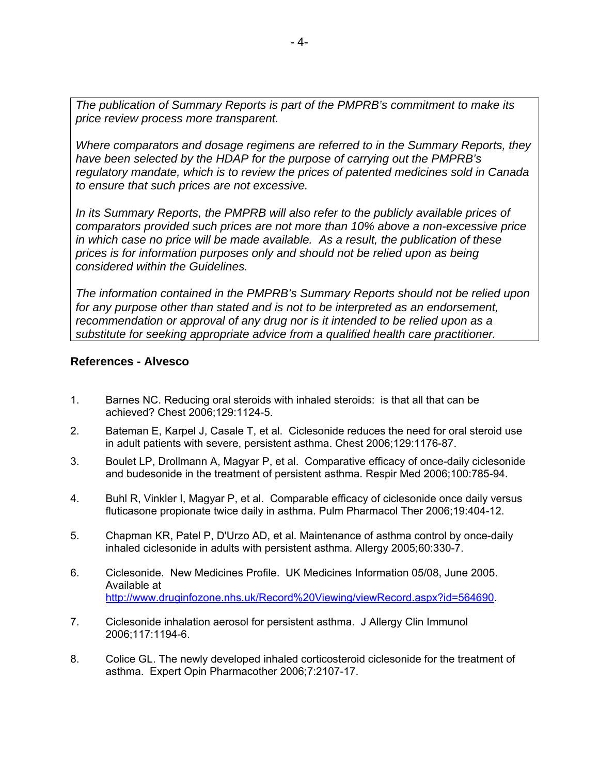*The publication of Summary Reports is part of the PMPRB's commitment to make its price review process more transparent.* 

*Where comparators and dosage regimens are referred to in the Summary Reports, they have been selected by the HDAP for the purpose of carrying out the PMPRB's regulatory mandate, which is to review the prices of patented medicines sold in Canada to ensure that such prices are not excessive.* 

*In its Summary Reports, the PMPRB will also refer to the publicly available prices of comparators provided such prices are not more than 10% above a non-excessive price in which case no price will be made available. As a result, the publication of these prices is for information purposes only and should not be relied upon as being considered within the Guidelines.* 

*The information contained in the PMPRB's Summary Reports should not be relied upon for any purpose other than stated and is not to be interpreted as an endorsement, recommendation or approval of any drug nor is it intended to be relied upon as a substitute for seeking appropriate advice from a qualified health care practitioner.* 

### **References - Alvesco**

- 1. Barnes NC. Reducing oral steroids with inhaled steroids: is that all that can be achieved? Chest 2006;129:1124-5.
- 2. Bateman E, Karpel J, Casale T, et al. Ciclesonide reduces the need for oral steroid use in adult patients with severe, persistent asthma. Chest 2006;129:1176-87.
- 3. Boulet LP, Drollmann A, Magyar P, et al. Comparative efficacy of once-daily ciclesonide and budesonide in the treatment of persistent asthma. Respir Med 2006;100:785-94.
- 4. Buhl R, Vinkler I, Magyar P, et al. Comparable efficacy of ciclesonide once daily versus fluticasone propionate twice daily in asthma. Pulm Pharmacol Ther 2006;19:404-12.
- 5. Chapman KR, Patel P, D'Urzo AD, et al. Maintenance of asthma control by once-daily inhaled ciclesonide in adults with persistent asthma. Allergy 2005;60:330-7.
- 6. Ciclesonide. New Medicines Profile. UK Medicines Information 05/08, June 2005. Available at http://www.druginfozone.nhs.uk/Record%20Viewing/viewRecord.aspx?id=564690.
- 7. Ciclesonide inhalation aerosol for persistent asthma. J Allergy Clin Immunol 2006;117:1194-6.
- 8. Colice GL. The newly developed inhaled corticosteroid ciclesonide for the treatment of asthma. Expert Opin Pharmacother 2006;7:2107-17.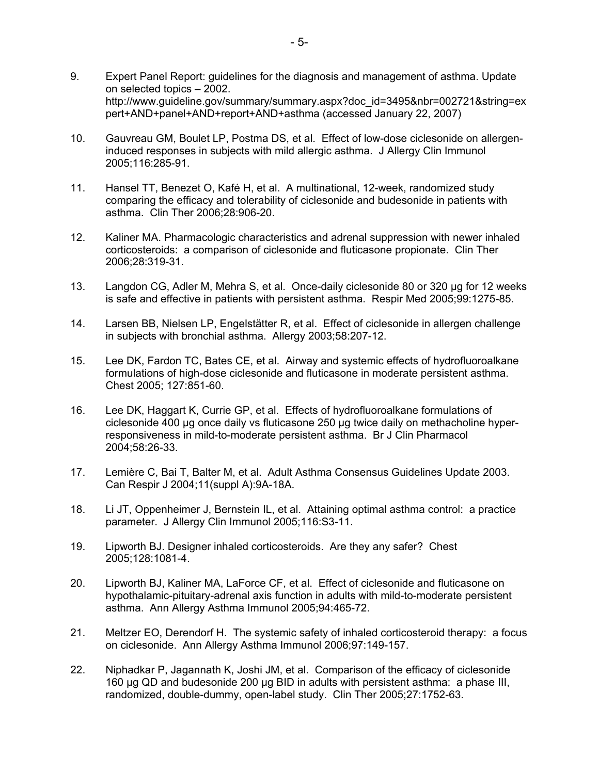- 9. Expert Panel Report: guidelines for the diagnosis and management of asthma. Update on selected topics – 2002. http://www.guideline.gov/summary/summary.aspx?doc\_id=3495&nbr=002721&string=ex pert+AND+panel+AND+report+AND+asthma (accessed January 22, 2007)
- 10. Gauvreau GM, Boulet LP, Postma DS, et al. Effect of low-dose ciclesonide on allergeninduced responses in subjects with mild allergic asthma. J Allergy Clin Immunol 2005;116:285-91.
- 11. Hansel TT, Benezet O, Kafé H, et al. A multinational, 12-week, randomized study comparing the efficacy and tolerability of ciclesonide and budesonide in patients with asthma. Clin Ther 2006;28:906-20.
- 12. Kaliner MA. Pharmacologic characteristics and adrenal suppression with newer inhaled corticosteroids: a comparison of ciclesonide and fluticasone propionate. Clin Ther 2006;28:319-31.
- 13. Langdon CG, Adler M, Mehra S, et al. Once-daily ciclesonide 80 or 320 μg for 12 weeks is safe and effective in patients with persistent asthma. Respir Med 2005;99:1275-85.
- 14. Larsen BB, Nielsen LP, Engelstätter R, et al. Effect of ciclesonide in allergen challenge in subjects with bronchial asthma. Allergy 2003;58:207-12.
- 15. Lee DK, Fardon TC, Bates CE, et al. Airway and systemic effects of hydrofluoroalkane formulations of high-dose ciclesonide and fluticasone in moderate persistent asthma. Chest 2005; 127:851-60.
- 16. Lee DK, Haggart K, Currie GP, et al. Effects of hydrofluoroalkane formulations of ciclesonide 400 μg once daily vs fluticasone 250 μg twice daily on methacholine hyperresponsiveness in mild-to-moderate persistent asthma. Br J Clin Pharmacol 2004;58:26-33.
- 17. Lemière C, Bai T, Balter M, et al. Adult Asthma Consensus Guidelines Update 2003. Can Respir J 2004;11(suppl A):9A-18A.
- 18. Li JT, Oppenheimer J, Bernstein IL, et al. Attaining optimal asthma control: a practice parameter. J Allergy Clin Immunol 2005;116:S3-11.
- 19. Lipworth BJ. Designer inhaled corticosteroids. Are they any safer? Chest 2005;128:1081-4.
- 20. Lipworth BJ, Kaliner MA, LaForce CF, et al. Effect of ciclesonide and fluticasone on hypothalamic-pituitary-adrenal axis function in adults with mild-to-moderate persistent asthma. Ann Allergy Asthma Immunol 2005;94:465-72.
- 21. Meltzer EO, Derendorf H. The systemic safety of inhaled corticosteroid therapy: a focus on ciclesonide. Ann Allergy Asthma Immunol 2006;97:149-157.
- 22. Niphadkar P, Jagannath K, Joshi JM, et al. Comparison of the efficacy of ciclesonide 160 µg QD and budesonide 200 µg BID in adults with persistent asthma: a phase III, randomized, double-dummy, open-label study. Clin Ther 2005;27:1752-63.